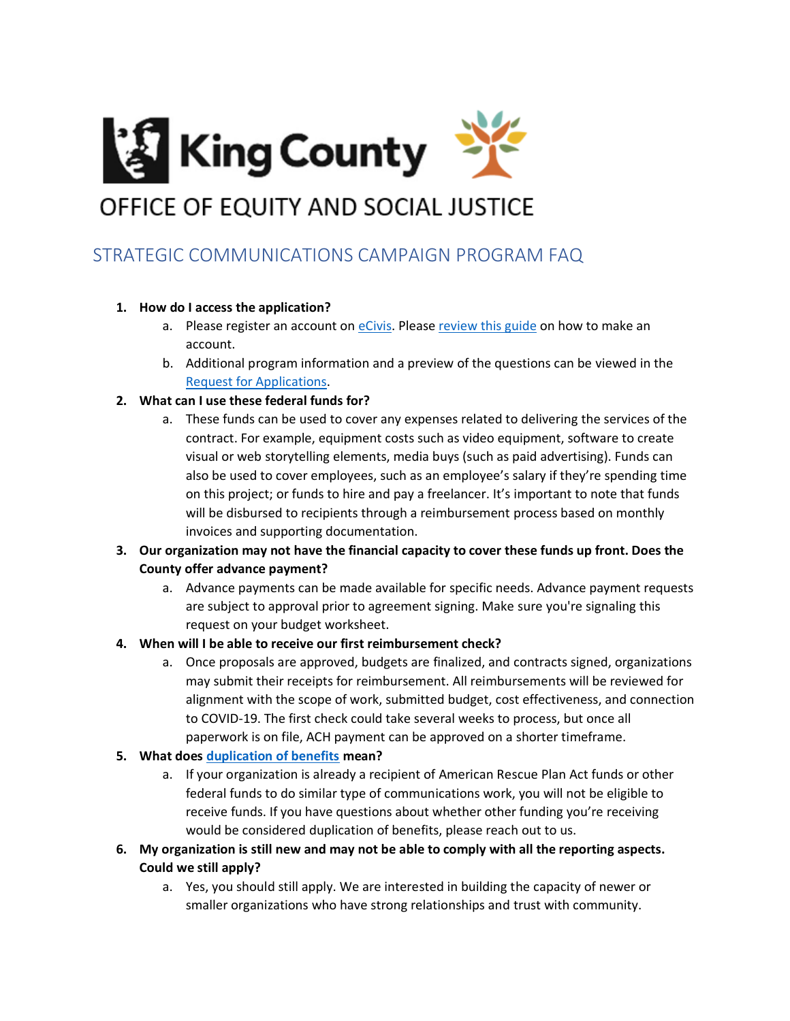

# STRATEGIC COMMUNICATIONS CAMPAIGN PROGRAM FAQ

# **1. How do I access the application?**

- a. Please register an account o[n eCivis.](https://gn.ecivis.com/GO/gn_redir/T/q52gzcijz53c) Please [review this guide](https://gn.ecivis.com/GO/srmng_downloadSolicitationFileExt/SOLICITATIONFILEID/5PNzftPsSpc~) on how to make an account.
- b. Additional program information and a preview of the questions can be viewed in the [Request for Applications.](https://kingcounty.gov/~/media/depts/executive/performance-strategy-budget/budget/COVID-19/AmericanRescuePlan/StrategicComm/RFA-StrategicCommunicationsCampaign.ashx?la=en)

### **2. What can I use these federal funds for?**

- a. These funds can be used to cover any expenses related to delivering the services of the contract. For example, equipment costs such as video equipment, software to create visual or web storytelling elements, media buys (such as paid advertising). Funds can also be used to cover employees, such as an employee's salary if they're spending time on this project; or funds to hire and pay a freelancer. It's important to note that funds will be disbursed to recipients through a reimbursement process based on monthly invoices and supporting documentation.
- **3. Our organization may not have the financial capacity to cover these funds up front. Does the County offer advance payment?**
	- a. Advance payments can be made available for specific needs. Advance payment requests are subject to approval prior to agreement signing. Make sure you're signaling this request on your budget worksheet.

#### **4. When will I be able to receive our first reimbursement check?**

a. Once proposals are approved, budgets are finalized, and contracts signed, organizations may submit their receipts for reimbursement. All reimbursements will be reviewed for alignment with the scope of work, submitted budget, cost effectiveness, and connection to COVID-19. The first check could take several weeks to process, but once all paperwork is on file, ACH payment can be approved on a shorter timeframe.

# **5. What does [duplication of benefits](https://www.ecfr.gov/current/title-44/chapter-I/subchapter-D/part-206/subpart-F/section-206.191) mean?**

- a. If your organization is already a recipient of American Rescue Plan Act funds or other federal funds to do similar type of communications work, you will not be eligible to receive funds. If you have questions about whether other funding you're receiving would be considered duplication of benefits, please reach out to us.
- **6. My organization is still new and may not be able to comply with all the reporting aspects. Could we still apply?**
	- a. Yes, you should still apply. We are interested in building the capacity of newer or smaller organizations who have strong relationships and trust with community.